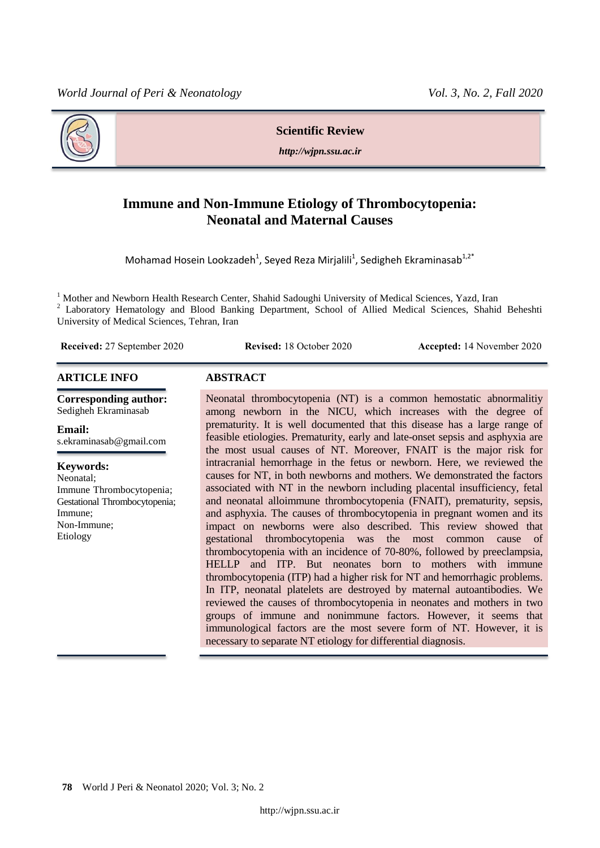**Scientific Review**

*http://wjpn.ssu.ac.ir*

# **Immune and Non-Immune Etiology of Thrombocytopenia: Neonatal and Maternal Causes**

Mohamad Hosein Lookzadeh<sup>1</sup>, Seyed Reza Mirjalili<sup>1</sup>, Sedigheh Ekraminasab<sup>1,2\*</sup>

<sup>1</sup> Mother and Newborn Health Research Center, Shahid Sadoughi University of Medical Sciences, Yazd, Iran Laboratory Hematology and Blood Banking Department, School of Allied Medical Sciences, Shahid Beheshti University of Medical Sciences, Tehran, Iran

**Received:** 27 September 2020 **Revised:** 18 October 2020 **Accepted:** 14 November 2020

#### **ARTICLE INFO ABSTRACT**

**Corresponding author:** Sedigheh Ekraminasab

**Email:**  s.ekraminasab@gmail.com

#### **Keywords:**

Neonatal; Immune Thrombocytopenia; Gestational Thrombocytopenia; Immune; Non-Immune; Etiology

Neonatal thrombocytopenia (NT) is a common hemostatic abnormalitiy among newborn in the NICU, which increases with the degree of prematurity. It is well documented that this disease has a large range of feasible etiologies. Prematurity, early and late-onset sepsis and asphyxia are the most usual causes of NT. Moreover, FNAIT is the major risk for intracranial hemorrhage in the fetus or newborn. Here, we reviewed the causes for NT, in both newborns and mothers. We demonstrated the factors associated with NT in the newborn including placental insufficiency, fetal and neonatal alloimmune thrombocytopenia (FNAIT), prematurity, sepsis, and asphyxia. The causes of thrombocytopenia in pregnant women and its impact on newborns were also described. This review showed that gestational thrombocytopenia was the most common cause of thrombocytopenia with an incidence of 70-80%, followed by preeclampsia, HELLP and ITP. But neonates born to mothers with immune thrombocytopenia (ITP) had a higher risk for NT and hemorrhagic problems. In ITP, neonatal platelets are destroyed by maternal autoantibodies. We reviewed the causes of thrombocytopenia in neonates and mothers in two groups of immune and nonimmune factors. However, it seems that immunological factors are the most severe form of NT. However, it is necessary to separate NT etiology for differential diagnosis.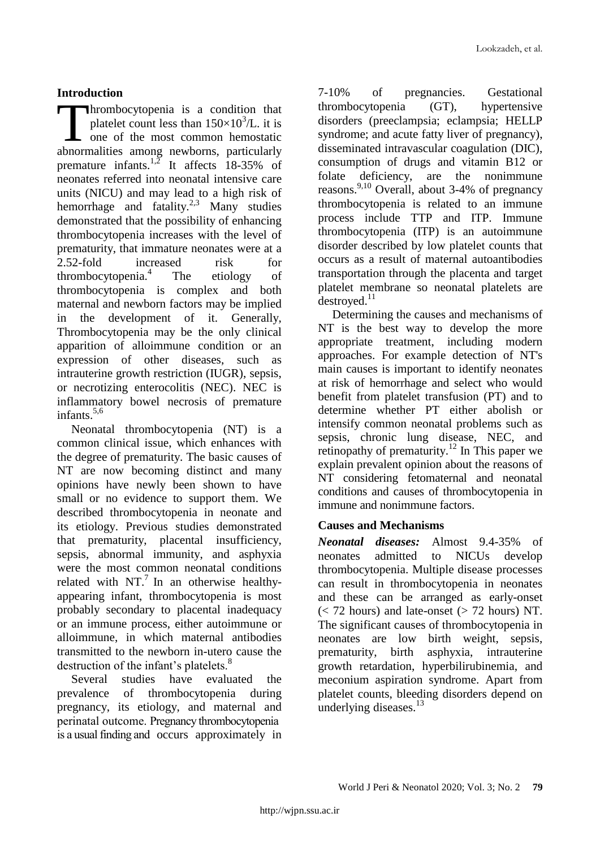## **Introduction**

hrombocytopenia is a condition that platelet count less than  $150 \times 10^3$ /L. it is  $\Box$  one of the most common hemostatic abnormalities among newborns, particularly premature infants.<sup>1,2</sup> It affects 18-35% of neonates referred into neonatal intensive care units (NICU) and may lead to a high risk of hemorrhage and fatality.<sup>2,3</sup> Many studies demonstrated that the possibility of enhancing thrombocytopenia increases with the level of prematurity, that immature neonates were at a 2.52-fold increased risk for thrombocytopenia.<sup>4</sup> The etiology of thrombocytopenia is complex and both maternal and newborn factors may be implied in the development of it. Generally, Thrombocytopenia may be the only clinical apparition of alloimmune condition or an expression of other diseases, such as intrauterine growth restriction (IUGR), sepsis, or necrotizing enterocolitis (NEC). NEC is inflammatory bowel necrosis of premature infants. $5,6$  $\prod_{\text{shown}}$ 

Neonatal thrombocytopenia (NT) is a common clinical issue, which enhances with the degree of prematurity. The basic causes of NT are now becoming distinct and many opinions have newly been shown to have small or no evidence to support them. We described thrombocytopenia in neonate and its etiology. Previous studies demonstrated that prematurity, placental insufficiency, sepsis, abnormal immunity, and asphyxia were the most common neonatal conditions related with  $NT<sup>7</sup>$  In an otherwise healthyappearing infant, thrombocytopenia is most probably secondary to placental inadequacy or an immune process, either autoimmune or alloimmune, in which maternal antibodies transmitted to the newborn in-utero cause the destruction of the infant's platelets.<sup>8</sup>

Several studies have evaluated the prevalence of thrombocytopenia during pregnancy, its etiology, and maternal and perinatal outcome. Pregnancy thrombocytopenia is a usual finding and occurs approximately in 7-10% of pregnancies. Gestational thrombocytopenia (GT), hypertensive disorders (preeclampsia; eclampsia; HELLP syndrome; and acute fatty liver of pregnancy), disseminated intravascular coagulation (DIC), consumption of drugs and vitamin B12 or folate deficiency, are the nonimmune reasons. 9,10 Overall, about 3-4% of pregnancy thrombocytopenia is related to an immune process include TTP and ITP. Immune thrombocytopenia (ITP) is an autoimmune disorder described by low platelet counts that occurs as a result of maternal autoantibodies transportation through the placenta and target platelet membrane so neonatal platelets are  $destroved.<sup>11</sup>$ 

Determining the causes and mechanisms of NT is the best way to develop the more appropriate treatment, including modern approaches. For example detection of NT's main causes is important to identify neonates at risk of hemorrhage and select who would benefit from platelet transfusion (PT) and to determine whether PT either abolish or intensify common neonatal problems such as sepsis, chronic lung disease, NEC, and retinopathy of prematurity.<sup>12</sup> In This paper we explain prevalent opinion about the reasons of NT considering fetomaternal and neonatal conditions and causes of thrombocytopenia in immune and nonimmune factors.

## **Causes and Mechanisms**

*Neonatal diseases:* Almost 9.4-35% of neonates admitted to NICUs develop thrombocytopenia. Multiple disease processes can result in thrombocytopenia in neonates and these can be arranged as early-onset  $(< 72$  hours) and late-onset  $(> 72$  hours) NT. The significant causes of thrombocytopenia in neonates are low birth weight, sepsis, prematurity, birth asphyxia, intrauterine growth retardation, hyperbilirubinemia, and meconium aspiration syndrome. Apart from platelet counts, bleeding disorders depend on underlying diseases.<sup>13</sup>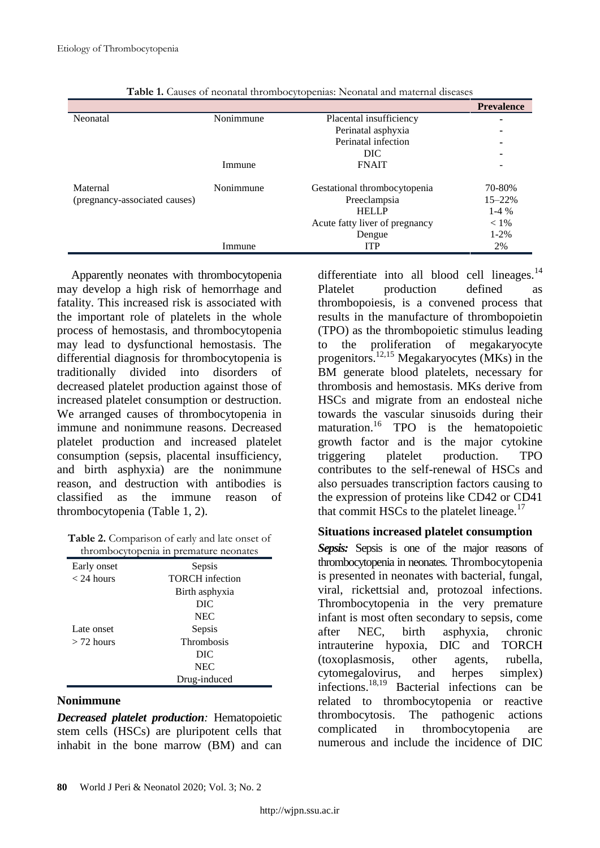|                               |           |                                | <b>Prevalence</b> |
|-------------------------------|-----------|--------------------------------|-------------------|
| Neonatal                      | Nonimmune | Placental insufficiency        | ۰                 |
|                               |           | Perinatal asphyxia             | ۰                 |
|                               |           | Perinatal infection            | ۰                 |
|                               |           | DIC.                           |                   |
|                               | Immune    | <b>FNAIT</b>                   | -                 |
| Maternal                      | Nonimmune | Gestational thrombocytopenia   | 70-80%            |
| (pregnancy-associated causes) |           | Preeclampsia                   | $15 - 22%$        |
|                               |           | <b>HELLP</b>                   | $1-4\%$           |
|                               |           | Acute fatty liver of pregnancy | $< 1\%$           |
|                               |           | Dengue                         | $1 - 2%$          |
|                               | Immune    | <b>ITP</b>                     | 2%                |

| Table 1. Causes of neonatal thrombocytopenias: Neonatal and maternal diseases |  |  |
|-------------------------------------------------------------------------------|--|--|
|                                                                               |  |  |

Apparently neonates with thrombocytopenia may develop a high risk of hemorrhage and fatality. This increased risk is associated with the important role of platelets in the whole process of hemostasis, and thrombocytopenia may lead to dysfunctional hemostasis. The differential diagnosis for thrombocytopenia is traditionally divided into disorders of decreased platelet production against those of increased platelet consumption or destruction. We arranged causes of thrombocytopenia in immune and nonimmune reasons. Decreased platelet production and increased platelet consumption (sepsis, placental insufficiency, and birth asphyxia) are the nonimmune reason, and destruction with antibodies is classified as the immune reason of thrombocytopenia (Table 1, 2).

| Table 2. Comparison of early and late onset of |  |
|------------------------------------------------|--|
| thrombocytopenia in premature neonates         |  |

| Early onset  | Sepsis                 |
|--------------|------------------------|
| $<$ 24 hours | <b>TORCH</b> infection |
|              | Birth asphyxia         |
|              | DIC                    |
|              | <b>NEC</b>             |
| Late onset   | Sepsis                 |
| $>$ 72 hours | <b>Thrombosis</b>      |
|              | DIC                    |
|              | <b>NEC</b>             |
|              | Drug-induced           |

#### **Nonimmune**

*Decreased platelet production:* Hematopoietic stem cells (HSCs) are pluripotent cells that inhabit in the bone marrow (BM) and can differentiate into all blood cell lineages. $^{14}$ Platelet production defined as thrombopoiesis, is a convened process that results in the manufacture of thrombopoietin (TPO) as the thrombopoietic stimulus leading to the proliferation of megakaryocyte progenitors.<sup>12,15</sup> Megakaryocytes (MKs) in the BM generate blood platelets, necessary for thrombosis and hemostasis. MKs derive from HSCs and migrate from an endosteal niche towards the vascular sinusoids during their maturation.<sup>16</sup> TPO is the hematopoietic growth factor and is the major cytokine triggering platelet production. TPO contributes to the self-renewal of HSCs and also persuades transcription factors causing to the expression of proteins like CD42 or CD41 that commit HSCs to the platelet lineage. $17$ 

#### **Situations increased platelet consumption**

*Sepsis:* Sepsis is one of the major reasons of thrombocytopenia in neonates. Thrombocytopenia is presented in neonates with bacterial, fungal, viral, rickettsial and, protozoal infections. Thrombocytopenia in the very premature infant is most often secondary to sepsis, come after NEC, birth asphyxia, chronic intrauterine hypoxia, DIC and TORCH (toxoplasmosis, other agents, rubella, cytomegalovirus, and herpes simplex)<br>infections.<sup>18,19</sup> Bacterial infections can be Bacterial infections can be related to thrombocytopenia or reactive thrombocytosis. The pathogenic actions complicated in thrombocytopenia are numerous and include the incidence of DIC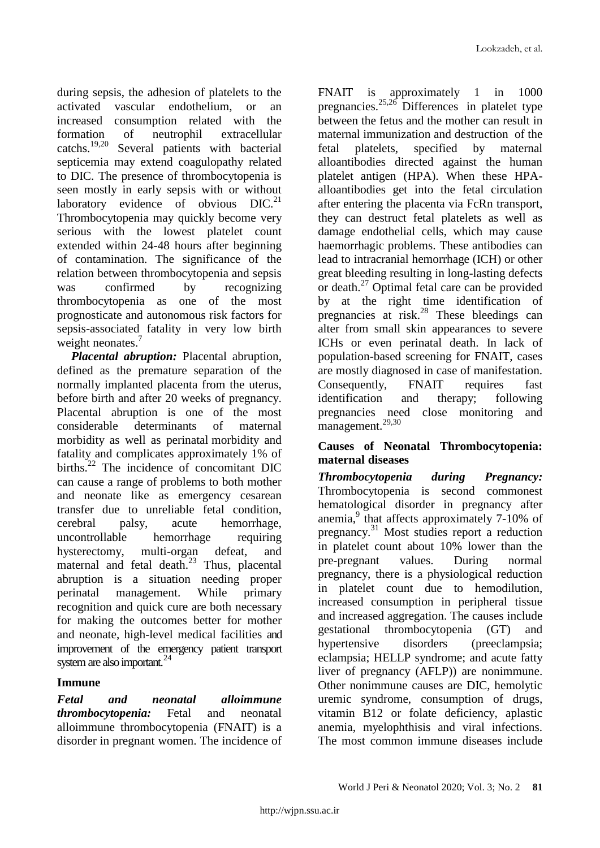during sepsis, the adhesion of platelets to the activated vascular endothelium, or an increased consumption related with the formation of neutrophil extracellular catchs. $^{19,20}$ Several patients with bacterial septicemia may extend coagulopathy related to DIC. The presence of thrombocytopenia is seen mostly in early sepsis with or without laboratory evidence of obvious  $DIC<sup>21</sup>$ Thrombocytopenia may quickly become very serious with the lowest platelet count extended within 24-48 hours after beginning of contamination. The significance of the relation between thrombocytopenia and sepsis was confirmed by recognizing thrombocytopenia as one of the most prognosticate and autonomous risk factors for sepsis-associated fatality in very low birth weight neonates.<sup>7</sup>

*Placental abruption:* Placental abruption, defined as the premature separation of the normally implanted placenta from the uterus, before birth and after 20 weeks of pregnancy. Placental abruption is one of the most considerable determinants of maternal morbidity as well as perinatal morbidity and fatality and complicates approximately 1% of births.<sup>22</sup> The incidence of concomitant DIC can cause a range of problems to both mother and neonate like as emergency cesarean transfer due to unreliable fetal condition, cerebral palsy, acute hemorrhage, uncontrollable hemorrhage requiring hysterectomy, multi-organ defeat, and maternal and fetal death.<sup>23</sup> Thus, placental abruption is a situation needing proper perinatal management. While primary recognition and quick cure are both necessary for making the outcomes better for mother and neonate, high-level medical facilities and improvement of the emergency patient transport system are also important.<sup>24</sup>

## **Immune**

*Fetal and neonatal alloimmune thrombocytopenia:* Fetal and neonatal alloimmune thrombocytopenia (FNAIT) is a disorder in pregnant women. The incidence of

FNAIT is approximately 1 in 1000 pregnancies. $^{25,26}$  Differences in platelet type between the fetus and the mother can result in maternal immunization and destruction of the fetal platelets, specified by maternal alloantibodies directed against the human platelet antigen (HPA). When these HPAalloantibodies get into the fetal circulation after entering the placenta via FcRn transport, they can destruct fetal platelets as well as damage endothelial cells, which may cause haemorrhagic problems. These antibodies can lead to intracranial hemorrhage (ICH) or other great bleeding resulting in long-lasting defects or death.<sup>27</sup> Optimal fetal care can be provided by at the right time identification of pregnancies at risk.<sup>28</sup> These bleedings can alter from small skin appearances to severe ICHs or even perinatal death. In lack of population-based screening for FNAIT, cases are mostly diagnosed in case of manifestation. Consequently, FNAIT requires fast identification and therapy; following pregnancies need close monitoring and management.<sup>29,30</sup>

## **Causes of Neonatal Thrombocytopenia: maternal diseases**

*Thrombocytopenia during Pregnancy:* Thrombocytopenia is second commonest hematological disorder in pregnancy after anemia,<sup>9</sup> that affects approximately 7-10% of pregnancy.<sup>31</sup> Most studies report a reduction in platelet count about 10% lower than the pre-pregnant values. During normal pregnancy, there is a physiological reduction in platelet count due to hemodilution, increased consumption in peripheral tissue and increased aggregation. The causes include gestational thrombocytopenia (GT) and hypertensive disorders (preeclampsia; eclampsia; HELLP syndrome; and acute fatty liver of pregnancy (AFLP)) are nonimmune. Other nonimmune causes are DIC, hemolytic uremic syndrome, consumption of drugs, vitamin B12 or folate deficiency, aplastic anemia, myelophthisis and viral infections. The most common immune diseases include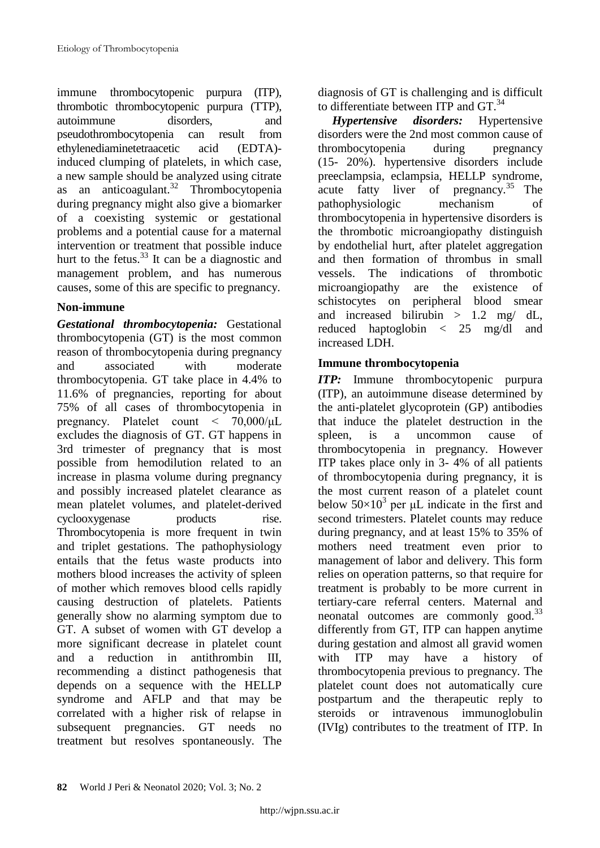immune thrombocytopenic purpura (ITP), thrombotic thrombocytopenic purpura (TTP), autoimmune disorders, and pseudothrombocytopenia can result from ethylenediaminetetraacetic acid (EDTA) induced clumping of platelets, in which case, a new sample should be analyzed using citrate as an anticoagulant.<sup>32</sup> Thrombocytopenia during pregnancy might also give a biomarker of a coexisting systemic or gestational problems and a potential cause for a maternal intervention or treatment that possible induce hurt to the fetus. $33$  It can be a diagnostic and management problem, and has numerous causes, some of this are specific to pregnancy.

# **Non-immune**

*Gestational thrombocytopenia:* Gestational thrombocytopenia (GT) is the most common reason of thrombocytopenia during pregnancy and associated with moderate thrombocytopenia. GT take place in 4.4% to 11.6% of pregnancies, reporting for about 75% of all cases of thrombocytopenia in pregnancy. Platelet count < 70,000/μL excludes the diagnosis of GT. GT happens in 3rd trimester of pregnancy that is most possible from hemodilution related to an increase in plasma volume during pregnancy and possibly increased platelet clearance as mean platelet volumes, and platelet-derived cyclooxygenase products rise. Thrombocytopenia is more frequent in twin and triplet gestations. The pathophysiology entails that the fetus waste products into mothers blood increases the activity of spleen of mother which removes blood cells rapidly causing destruction of platelets. Patients generally show no alarming symptom due to GT. A subset of women with GT develop a more significant decrease in platelet count and a reduction in antithrombin III, recommending a distinct pathogenesis that depends on a sequence with the HELLP syndrome and AFLP and that may be correlated with a higher risk of relapse in subsequent pregnancies. GT needs no treatment but resolves spontaneously. The

diagnosis of GT is challenging and is difficult to differentiate between ITP and  $GT^{34}$ 

*Hypertensive disorders:* Hypertensive disorders were the 2nd most common cause of thrombocytopenia during pregnancy (15- 20%). hypertensive disorders include preeclampsia, eclampsia, HELLP syndrome, acute fatty liver of pregnancy.<sup>35</sup> The pathophysiologic mechanism of thrombocytopenia in hypertensive disorders is the thrombotic microangiopathy distinguish by endothelial hurt, after platelet aggregation and then formation of thrombus in small vessels. The indications of thrombotic microangiopathy are the existence of schistocytes on peripheral blood smear and increased bilirubin  $> 1.2$  mg/ dL, reduced haptoglobin < 25 mg/dl and increased LDH.

# **Immune thrombocytopenia**

*ITP:* Immune thrombocytopenic purpura (ITP), an autoimmune disease determined by the anti-platelet glycoprotein (GP) antibodies that induce the platelet destruction in the spleen, is a uncommon cause of thrombocytopenia in pregnancy. However ITP takes place only in 3- 4% of all patients of thrombocytopenia during pregnancy, it is the most current reason of a platelet count below  $50\times10^3$  per  $\mu$ L indicate in the first and second trimesters. Platelet counts may reduce during pregnancy, and at least 15% to 35% of mothers need treatment even prior to management of labor and delivery. This form relies on operation patterns, so that require for treatment is probably to be more current in tertiary-care referral centers. Maternal and neonatal outcomes are commonly good. $^{33}$ differently from GT, ITP can happen anytime during gestation and almost all gravid women with ITP may have a history of thrombocytopenia previous to pregnancy. The platelet count does not automatically cure postpartum and the therapeutic reply to steroids or intravenous immunoglobulin (IVIg) contributes to the treatment of ITP. In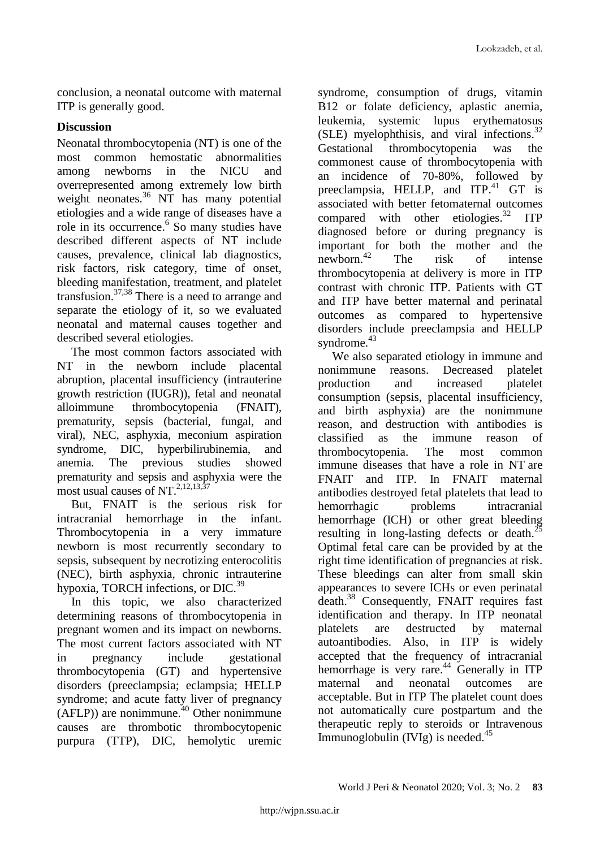conclusion, a neonatal outcome with maternal ITP is generally good.

## **Discussion**

Neonatal thrombocytopenia (NT) is one of the most common hemostatic abnormalities among newborns in the NICU and overrepresented among extremely low birth weight neonates. <sup>36</sup> NT has many potential etiologies and a wide range of diseases have a role in its occurrence. 6 So many studies have described different aspects of NT include causes, prevalence, clinical lab diagnostics, risk factors, risk category, time of onset, bleeding manifestation, treatment, and platelet transfusion. 37,38 There is a need to arrange and separate the etiology of it, so we evaluated neonatal and maternal causes together and described several etiologies.

The most common factors associated with NT in the newborn include placental abruption, placental insufficiency (intrauterine growth restriction (IUGR)), fetal and neonatal alloimmune thrombocytopenia (FNAIT), prematurity, sepsis (bacterial, fungal, and viral), NEC, asphyxia, meconium aspiration syndrome, DIC, hyperbilirubinemia, and anemia. The previous studies showed prematurity and sepsis and asphyxia were the most usual causes of NT. $^{2,12,13,\overline{37}}$ 

But, FNAIT is the serious risk for intracranial hemorrhage in the infant. Thrombocytopenia in a very immature newborn is most recurrently secondary to sepsis, subsequent by necrotizing enterocolitis (NEC), birth asphyxia, chronic intrauterine hypoxia, TORCH infections, or DIC.<sup>39</sup>

In this topic, we also characterized determining reasons of thrombocytopenia in pregnant women and its impact on newborns. The most current factors associated with NT in pregnancy include gestational thrombocytopenia (GT) and hypertensive disorders (preeclampsia; eclampsia; HELLP syndrome; and acute fatty liver of pregnancy  $(AFLP)$ ) are nonimmune.<sup>40</sup> Other nonimmune causes are thrombotic thrombocytopenic purpura (TTP), DIC, hemolytic uremic

syndrome, consumption of drugs, vitamin B12 or folate deficiency, aplastic anemia, leukemia, systemic lupus erythematosus (SLE) myelophthisis, and viral infections.<sup>32</sup> Gestational thrombocytopenia was the commonest cause of thrombocytopenia with an incidence of 70-80%, followed by preeclampsia, HELLP, and ITP.<sup>41</sup> GT is associated with better fetomaternal outcomes compared with other etiologies.<sup>32</sup> ITP diagnosed before or during pregnancy is important for both the mother and the newborn. The risk of intense thrombocytopenia at delivery is more in ITP contrast with chronic ITP. Patients with GT and ITP have better maternal and perinatal outcomes as compared to hypertensive disorders include preeclampsia and HELLP syndrome.<sup>43</sup>

We also separated etiology in immune and nonimmune reasons. Decreased platelet production and increased platelet consumption (sepsis, placental insufficiency, and birth asphyxia) are the nonimmune reason, and destruction with antibodies is classified as the immune reason of thrombocytopenia. The most common immune diseases that have a role in NT are FNAIT and ITP*.* In FNAIT maternal antibodies destroyed fetal platelets that lead to hemorrhagic problems intracranial hemorrhage (ICH) or other great bleeding resulting in long-lasting defects or death.<sup>25</sup> Optimal fetal care can be provided by at the right time identification of pregnancies at risk. These bleedings can alter from small skin appearances to severe ICHs or even perinatal death. <sup>38</sup> Consequently, FNAIT requires fast identification and therapy. In ITP neonatal platelets are destructed by maternal autoantibodies. Also, in ITP is widely accepted that the frequency of intracranial hemorrhage is very rare. <sup>44</sup> Generally in ITP maternal and neonatal outcomes are acceptable. But in ITP The platelet count does not automatically cure postpartum and the therapeutic reply to steroids or Intravenous Immunoglobulin (IVIg) is needed.<sup>45</sup>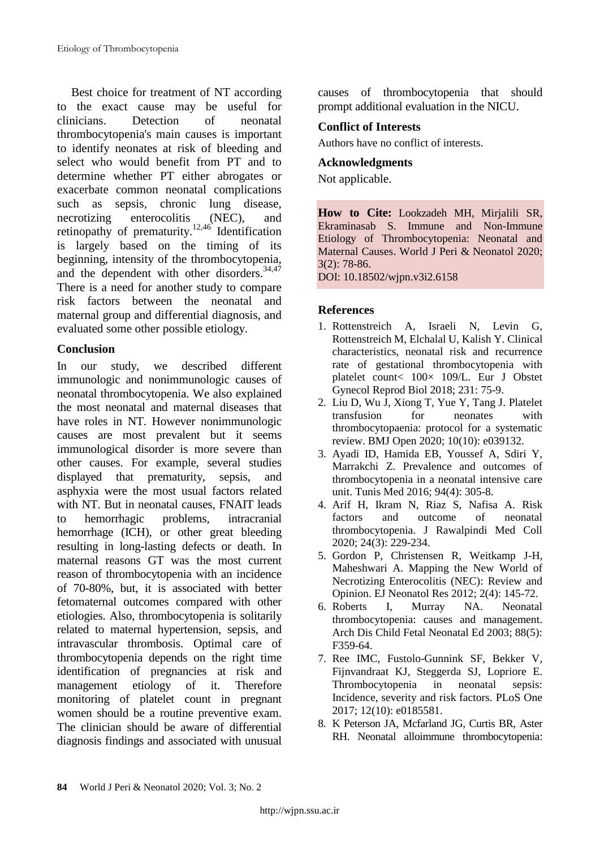Best choice for treatment of NT according to the exact cause may be useful for clinicians. Detection of neonatal thrombocytopenia's main causes is important to identify neonates at risk of bleeding and select who would benefit from PT and to determine whether PT either abrogates or exacerbate common neonatal complications such as sepsis, chronic lung disease, necrotizing enterocolitis (NEC), and retinopathy of prematurity.<sup>12,46</sup> Identification is largely based on the timing of its beginning, intensity of the thrombocytopenia, and the dependent with other disorders.<sup>34,47</sup> There is a need for another study to compare risk factors between the neonatal and maternal group and differential diagnosis, and evaluated some other possible etiology.

# **Conclusion**

In our study, we described different immunologic and nonimmunologic causes of neonatal thrombocytopenia. We also explained the most neonatal and maternal diseases that have roles in NT. However nonimmunologic causes are most prevalent but it seems immunological disorder is more severe than other causes. For example, several studies displayed that prematurity, sepsis, and asphyxia were the most usual factors related with NT. But in neonatal causes, FNAIT leads to hemorrhagic problems, intracranial hemorrhage (ICH), or other great bleeding resulting in long-lasting defects or death. In maternal reasons GT was the most current reason of thrombocytopenia with an incidence of 70-80%, but, it is associated with better fetomaternal outcomes compared with other etiologies. Also, thrombocytopenia is solitarily related to maternal hypertension, sepsis, and intravascular thrombosis. Optimal care of thrombocytopenia depends on the right time identification of pregnancies at risk and management etiology of it. Therefore monitoring of platelet count in pregnant women should be a routine preventive exam. The clinician should be aware of differential diagnosis findings and associated with unusual

causes of thrombocytopenia that should prompt additional evaluation in the NICU.

# **Conflict of Interests**

Authors have no conflict of interests.

#### **Acknowledgments**

Not applicable.

**How to Cite:** Lookzadeh MH, Mirjalili SR, Ekraminasab S. Immune and Non-Immune Etiology of Thrombocytopenia: Neonatal and Maternal Causes. World J Peri & Neonatol 2020; 3(2): 78-86.

DOI: 10.18502/wjpn.v3i2.6158

# **References**

- 1. Rottenstreich A, Israeli N, Levin G, Rottenstreich M, Elchalal U, Kalish Y. Clinical characteristics, neonatal risk and recurrence rate of gestational thrombocytopenia with platelet count< 100× 109/L. Eur J Obstet Gynecol Reprod Biol 2018; 231: 75-9.
- 2. Liu D, Wu J, Xiong T, Yue Y, Tang J. Platelet transfusion for neonates with thrombocytopaenia: protocol for a systematic review. BMJ Open 2020; 10(10): e039132.
- 3. Ayadi ID, Hamida EB, Youssef A, Sdiri Y, Marrakchi Z. Prevalence and outcomes of thrombocytopenia in a neonatal intensive care unit. Tunis Med 2016; 94(4): 305-8.
- 4. Arif H, Ikram N, Riaz S, Nafisa A. Risk factors and outcome of neonatal thrombocytopenia. J Rawalpindi Med Coll 2020; 24(3): 229-234.
- 5. Gordon P, Christensen R, Weitkamp J-H, Maheshwari A. Mapping the New World of Necrotizing Enterocolitis (NEC): Review and Opinion. EJ Neonatol Res 2012; 2(4): 145-72.
- 6. Roberts I, Murray NA. Neonatal thrombocytopenia: causes and management. Arch Dis Child Fetal Neonatal Ed 2003; 88(5): F359-64.
- 7. Ree IMC, Fustolo-Gunnink SF, Bekker V, Fijnvandraat KJ, Steggerda SJ, Lopriore E. Thrombocytopenia in neonatal sepsis: Incidence, severity and risk factors. PLoS One 2017; 12(10): e0185581.
- 8. K Peterson JA, Mcfarland JG, Curtis BR, Aster RH. Neonatal alloimmune thrombocytopenia: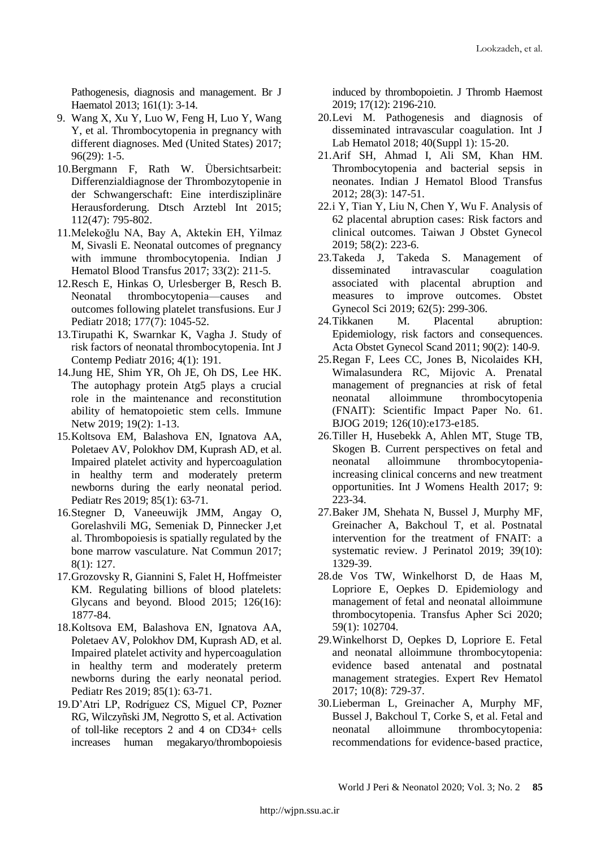Pathogenesis, diagnosis and management. Br J Haematol 2013; 161(1): 3-14.

- 9. Wang X, Xu Y, Luo W, Feng H, Luo Y, Wang Y, et al. Thrombocytopenia in pregnancy with different diagnoses. Med (United States) 2017; 96(29): 1-5.
- 10.Bergmann F, Rath W. Übersichtsarbeit: Differenzialdiagnose der Thrombozytopenie in der Schwangerschaft: Eine interdisziplinäre Herausforderung. Dtsch Arztebl Int 2015; 112(47): 795-802.
- 11.Melekoğlu NA, Bay A, Aktekin EH, Yilmaz M, Sivasli E. Neonatal outcomes of pregnancy with immune thrombocytopenia. Indian J Hematol Blood Transfus 2017; 33(2): 211-5.
- 12.Resch E, Hinkas O, Urlesberger B, Resch B. Neonatal thrombocytopenia—causes and outcomes following platelet transfusions. Eur J Pediatr 2018; 177(7): 1045-52.
- 13.Tirupathi K, Swarnkar K, Vagha J. Study of risk factors of neonatal thrombocytopenia. Int J Contemp Pediatr 2016; 4(1): 191.
- 14.Jung HE, Shim YR, Oh JE, Oh DS, Lee HK. The autophagy protein Atg5 plays a crucial role in the maintenance and reconstitution ability of hematopoietic stem cells. Immune Netw 2019; 19(2): 1-13.
- 15.Koltsova EM, Balashova EN, Ignatova AA, Poletaev AV, Polokhov DM, Kuprash AD, et al. Impaired platelet activity and hypercoagulation in healthy term and moderately preterm newborns during the early neonatal period. Pediatr Res 2019; 85(1): 63-71.
- 16.Stegner D, Vaneeuwijk JMM, Angay O, Gorelashvili MG, Semeniak D, Pinnecker J,et al. Thrombopoiesis is spatially regulated by the bone marrow vasculature. Nat Commun 2017; 8(1): 127.
- 17.Grozovsky R, Giannini S, Falet H, Hoffmeister KM. Regulating billions of blood platelets: Glycans and beyond. Blood 2015; 126(16): 1877-84.
- 18.Koltsova EM, Balashova EN, Ignatova AA, [Poletaev](https://pubmed.ncbi.nlm.nih.gov/?term=Poletaev+AV&cauthor_id=30283046) AV[, Polokhov](https://pubmed.ncbi.nlm.nih.gov/?term=Polokhov+DM&cauthor_id=30283046) DM, [Kuprash](https://pubmed.ncbi.nlm.nih.gov/?term=Kuprash+AD&cauthor_id=30283046) AD, et al. Impaired platelet activity and hypercoagulation in healthy term and moderately preterm newborns during the early neonatal period. Pediatr Res 2019; 85(1): 63-71.
- 19.D'Atri LP, Rodríguez CS, Miguel CP, Pozner RG, Wilczyñski JM, Negrotto S, et al. Activation of toll-like receptors 2 and 4 on CD34+ cells increases human megakaryo/thrombopoiesis

induced by thrombopoietin. J Thromb Haemost 2019; 17(12): 2196-210.

- 20.Levi M. Pathogenesis and diagnosis of disseminated intravascular coagulation. Int J Lab Hematol 2018; 40(Suppl 1): 15-20.
- 21[.Arif](https://pubmed.ncbi.nlm.nih.gov/?term=Arif+SH&cauthor_id=23997450) SH, Ahmad I, Ali SM, Khan HM. Thrombocytopenia and bacterial sepsis in neonates. Indian J Hematol Blood Transfus 2012; 28(3): 147-51.
- 22.i Y, Tian Y, Liu N, Chen Y, Wu F. Analysis of 62 placental abruption cases: Risk factors and clinical outcomes. Taiwan J Obstet Gynecol 2019; 58(2): 223-6.
- 23.Takeda J, Takeda S. Management of disseminated intravascular coagulation associated with placental abruption and measures to improve outcomes. Obstet Gynecol Sci 2019; 62(5): 299-306.
- 24.Tikkanen M. Placental abruption: Epidemiology, risk factors and consequences. Acta Obstet Gynecol Scand 2011; 90(2): 140-9.
- 25.Regan F, Lees CC, Jones B, Nicolaides KH, Wimalasundera RC, Mijovic A. Prenatal management of pregnancies at risk of fetal neonatal alloimmune thrombocytopenia (FNAIT): Scientific Impact Paper No. 61. BJOG 2019; 126(10):e173-e185.
- 26.Tiller H, Husebekk A, Ahlen MT, Stuge TB, Skogen B. Current perspectives on fetal and neonatal alloimmune thrombocytopeniaincreasing clinical concerns and new treatment opportunities. Int J Womens Health 2017; 9: 223-34.
- 27.Baker JM, Shehata N, Bussel J, [Murphy](https://pubmed.ncbi.nlm.nih.gov/?term=Murphy+MF&cauthor_id=30971767) MF, [Greinacher](https://pubmed.ncbi.nlm.nih.gov/?term=Greinacher+A&cauthor_id=30971767) A, [Bakchoul](https://pubmed.ncbi.nlm.nih.gov/?term=Bakchoul+T&cauthor_id=30971767) T, et al. Postnatal intervention for the treatment of FNAIT: a systematic review. J Perinatol 2019; 39(10): 1329-39.
- 28.de Vos TW, Winkelhorst D, de Haas M, Lopriore E, Oepkes D. Epidemiology and management of fetal and neonatal alloimmune thrombocytopenia. Transfus Apher Sci 2020; 59(1): 102704.
- 29.Winkelhorst D, Oepkes D, Lopriore E. Fetal and neonatal alloimmune thrombocytopenia: evidence based antenatal and postnatal management strategies. Expert Rev Hematol 2017; 10(8): 729-37.
- 30.Lieberman L, Greinacher A, Murphy MF, [Bussel](https://pubmed.ncbi.nlm.nih.gov/?term=Bussel+J&cauthor_id=30828796) J, [Bakchoul](https://pubmed.ncbi.nlm.nih.gov/?term=Bakchoul+T&cauthor_id=30828796) T, [Corke](https://pubmed.ncbi.nlm.nih.gov/?term=Corke+S&cauthor_id=30828796) S, et al. Fetal and neonatal alloimmune thrombocytopenia: recommendations for evidence‐based practice,